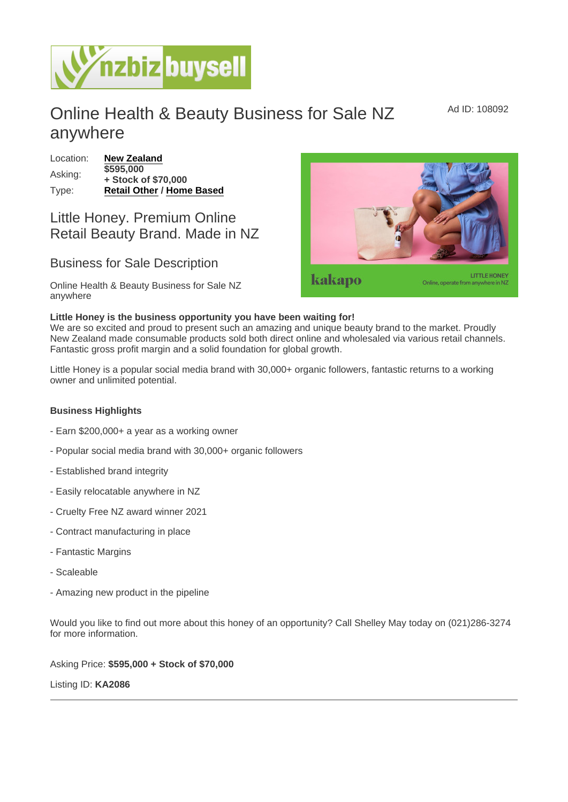## Online Health & Beauty Business for Sale NZ anywhere

Location: [New Zealand](https://www.nzbizbuysell.co.nz/businesses-for-sale/location/New-Zealand) Asking: \$595,000 + Stock of \$70,000 Type: [Retail Other](https://www.nzbizbuysell.co.nz/businesses-for-sale/Retail-Other/New-Zealand) / [Home Based](https://www.nzbizbuysell.co.nz/businesses-for-sale/Home-Based/New-Zealand)

## Little Honey. Premium Online Retail Beauty Brand. Made in NZ

## Business for Sale Description

Online Health & Beauty Business for Sale NZ anywhere

Little Honey is the business opportunity you have been waiting for! We are so excited and proud to present such an amazing and unique beauty brand to the market. Proudly New Zealand made consumable products sold both direct online and wholesaled via various retail channels. Fantastic gross profit margin and a solid foundation for global growth.

Little Honey is a popular social media brand with 30,000+ organic followers, fantastic returns to a working owner and unlimited potential.

Business Highlights

- Earn \$200,000+ a year as a working owner
- Popular social media brand with 30,000+ organic followers
- Established brand integrity
- Easily relocatable anywhere in NZ
- Cruelty Free NZ award winner 2021
- Contract manufacturing in place
- Fantastic Margins
- Scaleable
- Amazing new product in the pipeline

Would you like to find out more about this honey of an opportunity? Call Shelley May today on (021)286-3274 for more information.

Asking Price: \$595,000 + Stock of \$70,000

Listing ID: KA2086